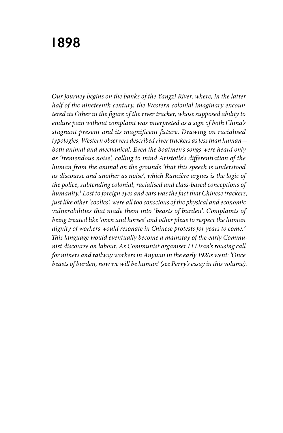## **1898**

*Our journey begins on the banks of the Yangzi River, where, in the latter half of the nineteenth century, the Western colonial imaginary encountered its Other in the figure of the river tracker, whose supposed ability to endure pain without complaint was interpreted as a sign of both China's stagnant present and its magnificent future. Drawing on racialised typologies, Western observers described river trackers as less than human both animal and mechanical. Even the boatmen's songs were heard only as 'tremendous noise', calling to mind Aristotle's differentiation of the human from the animal on the grounds 'that this speech is understood as discourse and another as noise', which Rancière argues is the logic of the police, subtending colonial, racialised and class-based conceptions of humanity.1 Lost to foreign eyes and ears was the fact that Chinese trackers, just like other 'coolies', were all too conscious of the physical and economic vulnerabilities that made them into 'beasts of burden'. Complaints of being treated like 'oxen and horses' and other pleas to respect the human dignity of workers would resonate in Chinese protests for years to come.2 This language would eventually become a mainstay of the early Communist discourse on labour. As Communist organiser Li Lisan's rousing call for miners and railway workers in Anyuan in the early 1920s went: 'Once beasts of burden, now we will be human' (see Perry's essay in this volume).*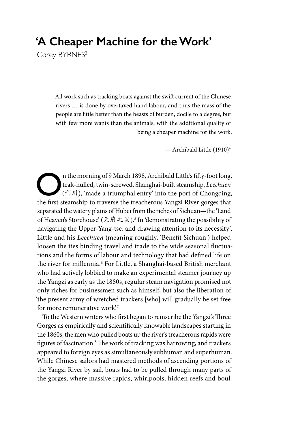## **'A Cheaper Machine for the Work'**

Corey BYRNES<sup>3</sup>

All work such as tracking boats against the swift current of the Chinese rivers … is done by overtaxed hand labour, and thus the mass of the people are little better than the beasts of burden, docile to a degree, but with few more wants than the animals, with the additional quality of being a cheaper machine for the work.

— Archibald Little (1910)4

The morning of 9 March 1898, Archibald Little's fifty-foot long,<br>
(
#1)<sup>II</sup>], 'made a triumphal entry' into the port of Chongqing,<br>
the first steambin to travesce the treesherous Yongqi Biyer gerges that teak-hulled, twin-screwed, Shanghai-built steamship, *Leechuen* the first steamship to traverse the treacherous Yangzi River gorges that separated the watery plains of Hubei from the riches of Sichuan—the 'Land of Heaven's Storehouse' (天府之国).5 In 'demonstrating the possibility of navigating the Upper-Yang-tse, and drawing attention to its necessity', Little and his *Leechuen* (meaning roughly, 'Benefit Sichuan') helped loosen the ties binding travel and trade to the wide seasonal fluctuations and the forms of labour and technology that had defined life on the river for millennia.<sup>6</sup> For Little, a Shanghai-based British merchant who had actively lobbied to make an experimental steamer journey up the Yangzi as early as the 1880s, regular steam navigation promised not only riches for businessmen such as himself, but also the liberation of 'the present army of wretched trackers [who] will gradually be set free for more remunerative work'.7

To the Western writers who first began to reinscribe the Yangzi's Three Gorges as empirically and scientifically knowable landscapes starting in the 1860s, the men who pulled boats up the river's treacherous rapids were figures of fascination.<sup>8</sup> The work of tracking was harrowing, and trackers appeared to foreign eyes as simultaneously subhuman and superhuman. While Chinese sailors had mastered methods of ascending portions of the Yangzi River by sail, boats had to be pulled through many parts of the gorges, where massive rapids, whirlpools, hidden reefs and boul-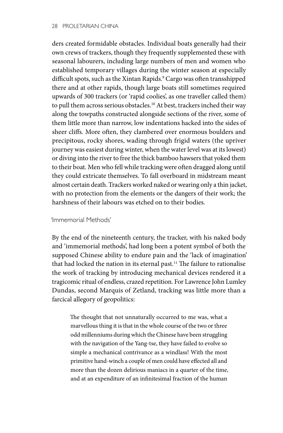## 28 PROLETARIAN CHINA

ders created formidable obstacles. Individual boats generally had their own crews of trackers, though they frequently supplemented these with seasonal labourers, including large numbers of men and women who established temporary villages during the winter season at especially difficult spots, such as the Xintan Rapids.9 Cargo was often transshipped there and at other rapids, though large boats still sometimes required upwards of 300 trackers (or 'rapid coolies', as one traveller called them) to pull them across serious obstacles.<sup>10</sup> At best, trackers inched their way along the towpaths constructed alongside sections of the river, some of them little more than narrow, low indentations hacked into the sides of sheer cliffs. More often, they clambered over enormous boulders and precipitous, rocky shores, wading through frigid waters (the upriver journey was easiest during winter, when the water level was at its lowest) or diving into the river to free the thick bamboo hawsers that yoked them to their boat. Men who fell while tracking were often dragged along until they could extricate themselves. To fall overboard in midstream meant almost certain death. Trackers worked naked or wearing only a thin jacket, with no protection from the elements or the dangers of their work; the harshness of their labours was etched on to their bodies.

## 'Immemorial Methods'

By the end of the nineteenth century, the tracker, with his naked body and 'immemorial methods', had long been a potent symbol of both the supposed Chinese ability to endure pain and the 'lack of imagination' that had locked the nation in its eternal past.<sup>11</sup> The failure to rationalise the work of tracking by introducing mechanical devices rendered it a tragicomic ritual of endless, crazed repetition. For Lawrence John Lumley Dundas, second Marquis of Zetland, tracking was little more than a farcical allegory of geopolitics:

The thought that not unnaturally occurred to me was, what a marvellous thing it is that in the whole course of the two or three odd millenniums during which the Chinese have been struggling with the navigation of the Yang-tse, they have failed to evolve so simple a mechanical contrivance as a windlass! With the most primitive hand-winch a couple of men could have effected all and more than the dozen delirious maniacs in a quarter of the time, and at an expenditure of an infinitesimal fraction of the human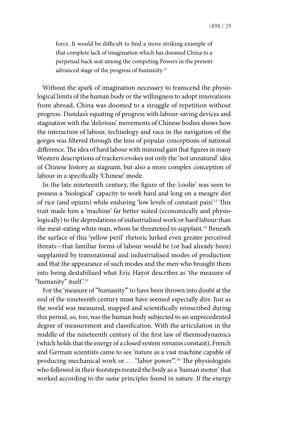force. It would be difficult to find a more striking example of that complete lack of imagination which has doomed China to a perpetual back seat among the competing Powers in the present advanced stage of the progress of humanity.12

Without the spark of imagination necessary to transcend the physiological limits of the human body or the willingness to adopt innovations from abroad, China was doomed to a struggle of repetition without progress. Dundas's equating of progress with labour-saving devices and stagnation with the 'delirious' movements of Chinese bodies shows how the interaction of labour, technology and race in the navigation of the gorges was filtered through the lens of popular conceptions of national difference. The idea of hard labour with minimal gain that figures in many Western descriptions of trackers evokes not only the 'not unnatural' idea of Chinese history as stagnant, but also a more complex conception of labour in a specifically 'Chinese' mode.

In the late nineteenth century, the figure of the 'coolie' was seen to possess a 'biological' capacity to work hard and long on a meagre diet of rice (and opium) while enduring 'low levels of constant pain'.13 This trait made him a 'machine' far better suited (economically and physiologically) to the depredations of industrialised work or hard labour than the meat-eating white man, whom he threatened to supplant.<sup>14</sup> Beneath the surface of this 'yellow peril' rhetoric lurked even greater perceived threats—that familiar forms of labour would be (or had already been) supplanted by transnational and industrialised modes of production and that the appearance of such modes and the men who brought them into being destabilised what Eric Hayot describes as 'the measure of "humanity" itself?<sup>15</sup>

For the 'measure of "humanity"' to have been thrown into doubt at the end of the nineteenth century must have seemed especially dire. Just as the world was measured, mapped and scientifically reinscribed during this period, so, too, was the human body subjected to an unprecedented degree of measurement and classification. With the articulation in the middle of the nineteenth century of the first law of thermodynamics (which holds that the energy of a closed system remains constant), French and German scientists came to see 'nature as a vast machine capable of producing mechanical work or ... "labor power".<sup>16</sup> The physiologists who followed in their footsteps treated the body as a 'human motor' that worked according to the same principles found in nature. If the energy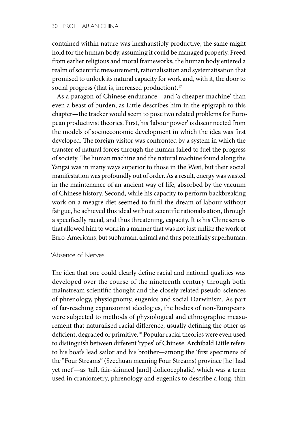contained within nature was inexhaustibly productive, the same might hold for the human body, assuming it could be managed properly. Freed from earlier religious and moral frameworks, the human body entered a realm of scientific measurement, rationalisation and systematisation that promised to unlock its natural capacity for work and, with it, the door to social progress (that is, increased production).<sup>17</sup>

As a paragon of Chinese endurance—and 'a cheaper machine' than even a beast of burden, as Little describes him in the epigraph to this chapter—the tracker would seem to pose two related problems for European productivist theories. First, his 'labour power' is disconnected from the models of socioeconomic development in which the idea was first developed. The foreign visitor was confronted by a system in which the transfer of natural forces through the human failed to fuel the progress of society. The human machine and the natural machine found along the Yangzi was in many ways superior to those in the West, but their social manifestation was profoundly out of order. As a result, energy was wasted in the maintenance of an ancient way of life, absorbed by the vacuum of Chinese history. Second, while his capacity to perform backbreaking work on a meagre diet seemed to fulfil the dream of labour without fatigue, he achieved this ideal without scientific rationalisation, through a specifically racial, and thus threatening, capacity. It is his Chineseness that allowed him to work in a manner that was not just unlike the work of Euro-Americans, but subhuman, animal and thus potentially superhuman.

'Absence of Nerves'

The idea that one could clearly define racial and national qualities was developed over the course of the nineteenth century through both mainstream scientific thought and the closely related pseudo-sciences of phrenology, physiognomy, eugenics and social Darwinism. As part of far-reaching expansionist ideologies, the bodies of non-Europeans were subjected to methods of physiological and ethnographic measurement that naturalised racial difference, usually defining the other as deficient, degraded or primitive.<sup>18</sup> Popular racial theories were even used to distinguish between different 'types' of Chinese. Archibald Little refers to his boat's lead sailor and his brother—among the 'first specimens of the "Four Streams" (Szechuan meaning Four Streams) province [he] had yet met'—as 'tall, fair-skinned [and] dolicocephalic', which was a term used in craniometry, phrenology and eugenics to describe a long, thin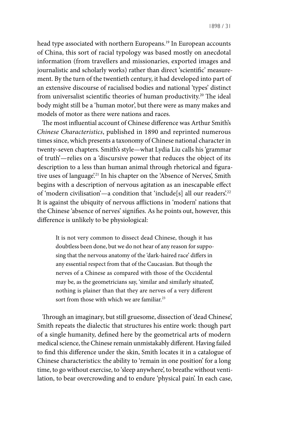head type associated with northern Europeans.<sup>19</sup> In European accounts of China, this sort of racial typology was based mostly on anecdotal information (from travellers and missionaries, exported images and journalistic and scholarly works) rather than direct 'scientific' measurement. By the turn of the twentieth century, it had developed into part of an extensive discourse of racialised bodies and national 'types' distinct from universalist scientific theories of human productivity.<sup>20</sup> The ideal body might still be a 'human motor', but there were as many makes and models of motor as there were nations and races.

The most influential account of Chinese difference was Arthur Smith's *Chinese Characteristics*, published in 1890 and reprinted numerous times since, which presents a taxonomy of Chinese national character in twenty-seven chapters. Smith's style—what Lydia Liu calls his 'grammar of truth'—relies on a 'discursive power that reduces the object of its description to a less than human animal through rhetorical and figurative uses of language<sup>21</sup> In his chapter on the 'Absence of Nerves', Smith begins with a description of nervous agitation as an inescapable effect of 'modern civilisation'—a condition that 'include[s] all our readers'.22 It is against the ubiquity of nervous afflictions in 'modern' nations that the Chinese 'absence of nerves' signifies. As he points out, however, this difference is unlikely to be physiological:

It is not very common to dissect dead Chinese, though it has doubtless been done, but we do not hear of any reason for supposing that the nervous anatomy of the 'dark-haired race' differs in any essential respect from that of the Caucasian. But though the nerves of a Chinese as compared with those of the Occidental may be, as the geometricians say, 'similar and similarly situated', nothing is plainer than that they are nerves of a very different sort from those with which we are familiar.<sup>23</sup>

Through an imaginary, but still gruesome, dissection of 'dead Chinese', Smith repeats the dialectic that structures his entire work: though part of a single humanity, defined here by the geometrical arts of modern medical science, the Chinese remain unmistakably different. Having failed to find this difference under the skin, Smith locates it in a catalogue of Chinese characteristics: the ability to 'remain in one position' for a long time, to go without exercise, to 'sleep anywhere', to breathe without ventilation, to bear overcrowding and to endure 'physical pain'. In each case,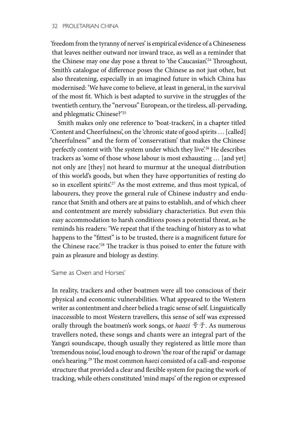'freedom from the tyranny of nerves' is empirical evidence of a Chineseness that leaves neither outward nor inward trace, as well as a reminder that the Chinese may one day pose a threat to 'the Caucasian'.<sup>24</sup> Throughout, Smith's catalogue of difference poses the Chinese as not just other, but also threatening, especially in an imagined future in which China has modernised: 'We have come to believe, at least in general, in the survival of the most fit. Which is best adapted to survive in the struggles of the twentieth century, the "nervous" European, or the tireless, all-pervading, and phlegmatic Chinese?'25

Smith makes only one reference to 'boat-trackers', in a chapter titled 'Content and Cheerfulness', on the 'chronic state of good spirits … [called] "cheerfulness"' and the form of 'conservatism' that makes the Chinese perfectly content with 'the system under which they live'.<sup>26</sup> He describes trackers as 'some of those whose labour is most exhausting … [and yet] not only are [they] not heard to murmur at the unequal distribution of this world's goods, but when they have opportunities of resting do so in excellent spirits'.<sup>27</sup> As the most extreme, and thus most typical, of labourers, they prove the general rule of Chinese industry and endurance that Smith and others are at pains to establish, and of which cheer and contentment are merely subsidiary characteristics. But even this easy accommodation to harsh conditions poses a potential threat, as he reminds his readers: 'We repeat that if the teaching of history as to what happens to the "fittest" is to be trusted, there is a magnificent future for the Chinese race.'28 The tracker is thus poised to enter the future with pain as pleasure and biology as destiny.

'Same as Oxen and Horses'

In reality, trackers and other boatmen were all too conscious of their physical and economic vulnerabilities. What appeared to the Western writer as contentment and cheer belied a tragic sense of self. Linguistically inaccessible to most Western travellers, this sense of self was expressed orally through the boatmen's work songs, or *haozi* 号子. As numerous travellers noted, these songs and chants were an integral part of the Yangzi soundscape, though usually they registered as little more than 'tremendous noise', loud enough to drown 'the roar of the rapid' or damage one's hearing.29 The most common *haozi* consisted of a call-and-response structure that provided a clear and flexible system for pacing the work of tracking, while others constituted 'mind maps' of the region or expressed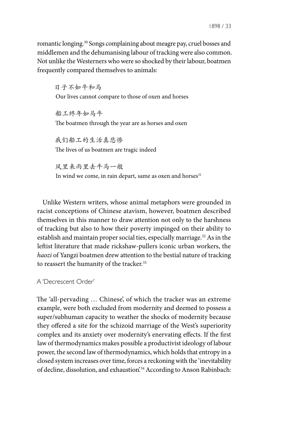romantic longing.30 Songs complaining about meagre pay, cruel bosses and middlemen and the dehumanising labour of tracking were also common. Not unlike the Westerners who were so shocked by their labour, boatmen frequently compared themselves to animals:

日子不如牛和马 Our lives cannot compare to those of oxen and horses

船工终年如马牛 The boatmen through the year are as horses and oxen

我们船工的生活真悲惨 The lives of us boatmen are tragic indeed

风里来雨里去牛马一般 In wind we come, in rain depart, same as oxen and horses<sup>31</sup>

Unlike Western writers, whose animal metaphors were grounded in racist conceptions of Chinese atavism, however, boatmen described themselves in this manner to draw attention not only to the harshness of tracking but also to how their poverty impinged on their ability to establish and maintain proper social ties, especially marriage.<sup>32</sup> As in the leftist literature that made rickshaw-pullers iconic urban workers, the *haozi* of Yangzi boatmen drew attention to the bestial nature of tracking to reassert the humanity of the tracker.<sup>33</sup>

A 'Decrescent Order'

The 'all-pervading … Chinese', of which the tracker was an extreme example, were both excluded from modernity and deemed to possess a super/subhuman capacity to weather the shocks of modernity because they offered a site for the schizoid marriage of the West's superiority complex and its anxiety over modernity's enervating effects. If the first law of thermodynamics makes possible a productivist ideology of labour power, the second law of thermodynamics, which holds that entropy in a closed system increases over time, forces a reckoning with the 'inevitability of decline, dissolution, and exhaustion<sup>'34</sup> According to Anson Rabinbach: